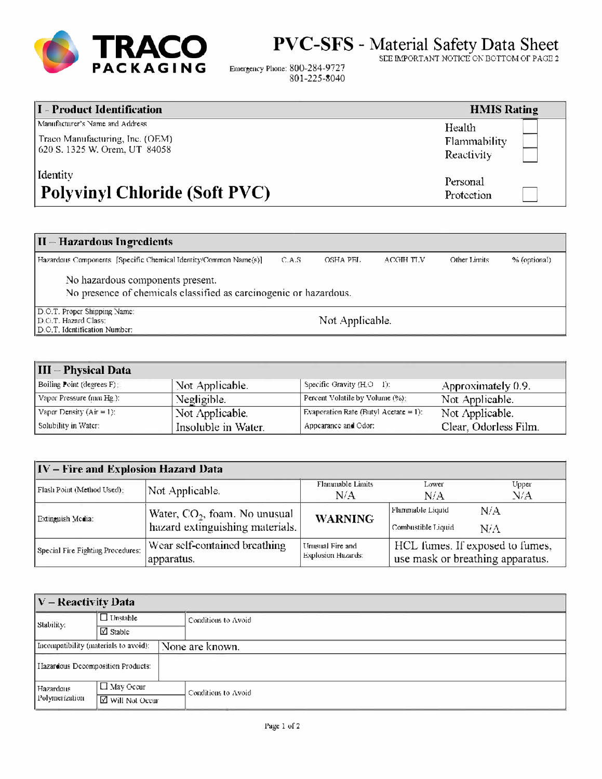

PVC-SFS - Material Safety Data Sheet

SEE IMPORTANT NOTICE ON BOTTOM OF PAGE 2

Other Limits

% (optional)

Emergency Phone: 800-284-9727 801-225-8040

| I - Product Identification           | <b>HMIS Rating</b> |
|--------------------------------------|--------------------|
| Manufacturer's Name and Address      | Health             |
| Traco Manufacturing, Inc. (OEM)      | Flammability       |
| 620 S. 1325 W. Orem, UT 84058        | Reactivity         |
| Identity                             | Personal           |
| <b>Polyvinyl Chloride (Soft PVC)</b> | Protection         |

## II-Hazardous Ingredients

Hazardous Components [Specific Chemical Identity/Common Name(s)]  $\mathop{\text{\rm C.A.S}}$ OSHA PEL  $\Lambda\text{CGIH}$  TLV

No hazardous components present.

No presence of chemicals classified as carcinogenic or hazardous.

D.O.T. Proper Shipping Name:<br>D.O.T. Hazard Class: D.O.T. Identification Number:

Not Applicable.

| III – Physical Data         |                     |                                       |                       |
|-----------------------------|---------------------|---------------------------------------|-----------------------|
| Boiling Point (degrees F)   | Not Applicable.     | Specific Gravity (H,O 1):             | Approximately 0.9.    |
| Vapor Pressure (mm Hg.):    | Negligible.         | Percent Volatile by Volume (%):       | Not Applicable.       |
| Vapor Density $(Air = 1)$ : | Not Applicable.     | Evaporation Rate (Butyl Acetate = 1): | Not Applicable.       |
| Solubility in Water:        | Insoluble in Water. | Appearance and Odor:                  | Clear. Odorless Film. |

| IV - Fire and Explosion Hazard Data |                                                                    |                                        |                                                                     |              |
|-------------------------------------|--------------------------------------------------------------------|----------------------------------------|---------------------------------------------------------------------|--------------|
| Flash Point (Method Used):          | Not Applicable.                                                    | Flammable Limits<br>N/A                | Lower<br>N/A                                                        | Upper<br>N/A |
| Extinguish Media:                   | Water, $CO2$ , foam. No unusual<br>hazard extinguishing materials. | <b>WARNING</b>                         | Flammable Liquid<br>Combustible Liquid                              | N/A<br>N/A   |
| Special Fire Fighting Procedures:   | Wear self-contained breathing<br>apparatus.                        | Unusual Fire and<br>Explosion Hazards: | HCL fumes. If exposed to fumes,<br>use mask or breathing apparatus. |              |

| $ V -$ Reactivity Data                |                                  |  |                     |  |
|---------------------------------------|----------------------------------|--|---------------------|--|
| Stability:                            | $\Box$ Unstable<br>$\Box$ Stable |  | Conditions to Avoid |  |
|                                       |                                  |  |                     |  |
| Incompatibility (materials to avoid): |                                  |  | None are known.     |  |
| I Iazardous Decomposition Products:   |                                  |  |                     |  |
| Hazardous                             | $\Box$ May Occur                 |  | Conditions to Avoid |  |
| Polymerization<br>□ Will Not Occur    |                                  |  |                     |  |